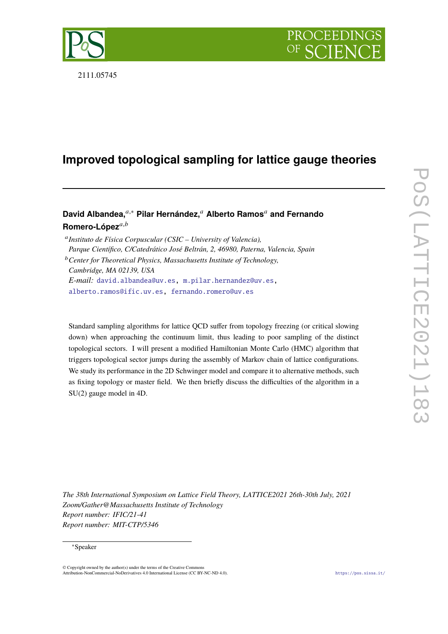

2111.05745

# **Improved topological sampling for lattice gauge theories**

**David Albandea,**𝑎,<sup>∗</sup> **Pilar Hernández,**<sup>𝑎</sup> **Alberto Ramos**<sup>𝑎</sup> **and Fernando** Romero-López<sup>a,b</sup>

<sup>a</sup> Instituto de Física Corpuscular (CSIC – University of Valencia), *Parque Científico, C/Catedrático José Beltrán, 2, 46980, Paterna, Valencia, Spain* <sup>*b*</sup> Center for Theoretical Physics, Massachusetts Institute of Technology, *Cambridge, MA 02139, USA E-mail:* [david.albandea@uv.es,](mailto:david.albandea@uv.es) [m.pilar.hernandez@uv.es,](mailto:m.pilar.hernandez@uv.es) [alberto.ramos@ific.uv.es,](mailto:alberto.ramos@ific.uv.es) [fernando.romero@uv.es](mailto:fernando.romero@uv.es)

Standard sampling algorithms for lattice QCD suffer from topology freezing (or critical slowing down) when approaching the continuum limit, thus leading to poor sampling of the distinct topological sectors. I will present a modified Hamiltonian Monte Carlo (HMC) algorithm that triggers topological sector jumps during the assembly of Markov chain of lattice configurations. We study its performance in the 2D Schwinger model and compare it to alternative methods, such as fixing topology or master field. We then briefly discuss the difficulties of the algorithm in a SU(2) gauge model in 4D.

*The 38th International Symposium on Lattice Field Theory, LATTICE2021 26th-30th July, 2021 Zoom/Gather@Massachusetts Institute of Technology Report number: IFIC/21-41 Report number: MIT-CTP/5346*

## <sup>∗</sup>Speaker

 $\odot$  Copyright owned by the author(s) under the terms of the Creative Common Attribution-NonCommercial-NoDerivatives 4.0 International License (CC BY-NC-ND 4.0). <https://pos.sissa.it/>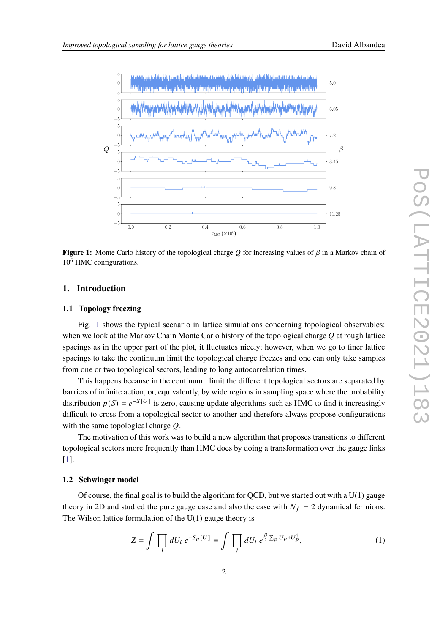<span id="page-1-0"></span>

**Figure 1:** Monte Carlo history of the topological charge  $Q$  for increasing values of  $\beta$  in a Markov chain of 10<sup>6</sup> HMC configurations.

# **1. Introduction**

# **1.1 Topology freezing**

Fig. [1](#page-1-0) shows the typical scenario in lattice simulations concerning topological observables: when we look at the Markov Chain Monte Carlo history of the topological charge  $Q$  at rough lattice spacings as in the upper part of the plot, it fluctuates nicely; however, when we go to finer lattice spacings to take the continuum limit the topological charge freezes and one can only take samples from one or two topological sectors, leading to long autocorrelation times.

This happens because in the continuum limit the different topological sectors are separated by barriers of infinite action, or, equivalently, by wide regions in sampling space where the probability distribution  $p(S) = e^{-S[U]}$  is zero, causing update algorithms such as HMC to find it increasingly difficult to cross from a topological sector to another and therefore always propose configurations with the same topological charge  $Q$ .

The motivation of this work was to build a new algorithm that proposes transitions to different topological sectors more frequently than HMC does by doing a transformation over the gauge links [\[1\]](#page-9-0).

## **1.2 Schwinger model**

Of course, the final goal is to build the algorithm for QCD, but we started out with a  $U(1)$  gauge theory in 2D and studied the pure gauge case and also the case with  $N_f = 2$  dynamical fermions. The Wilson lattice formulation of the  $U(1)$  gauge theory is

$$
Z = \int \prod_{l} dU_l \ e^{-S_p[U]} \equiv \int \prod_{l} dU_l \ e^{\frac{\beta}{2} \sum_{p} U_p + U_p^{\dagger}}, \tag{1}
$$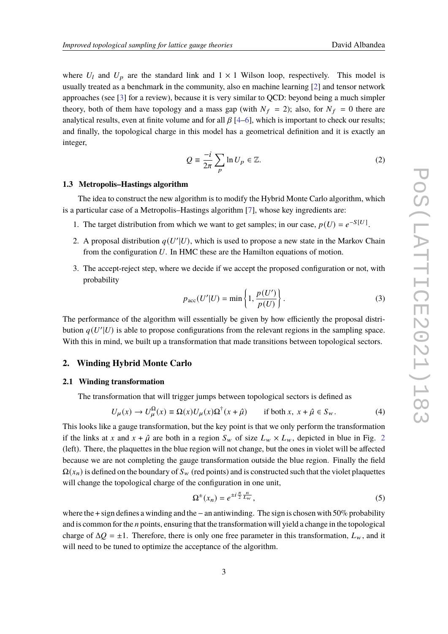where  $U_l$  and  $U_p$  are the standard link and  $1 \times 1$  Wilson loop, respectively. This model is usually treated as a benchmark in the community, also en machine learning [\[2\]](#page-9-1) and tensor network approaches (see [\[3\]](#page-9-2) for a review), because it is very similar to QCD: beyond being a much simpler theory, both of them have topology and a mass gap (with  $N_f = 2$ ); also, for  $N_f = 0$  there are analytical results, even at finite volume and for all  $\beta$  [\[4–](#page-9-3)[6\]](#page-9-4), which is important to check our results; and finally, the topological charge in this model has a geometrical definition and it is exactly an integer,

$$
Q = \frac{-i}{2\pi} \sum_{p} \ln U_p \in \mathbb{Z}.
$$
 (2)

#### **1.3 Metropolis–Hastings algorithm**

The idea to construct the new algorithm is to modify the Hybrid Monte Carlo algorithm, which is a particular case of a Metropolis–Hastings algorithm [\[7\]](#page-9-5), whose key ingredients are:

- 1. The target distribution from which we want to get samples; in our case,  $p(U) = e^{-S[U]}$ .
- 2. A proposal distribution  $q(U'|U)$ , which is used to propose a new state in the Markov Chain from the configuration  $U$ . In HMC these are the Hamilton equations of motion.
- 3. The accept-reject step, where we decide if we accept the proposed configuration or not, with probability

<span id="page-2-1"></span>
$$
p_{\rm acc}(U'|U) = \min\left\{1, \frac{p(U')}{p(U)}\right\}.
$$
 (3)

The performance of the algorithm will essentially be given by how efficiently the proposal distribution  $q(U'|U)$  is able to propose configurations from the relevant regions in the sampling space. With this in mind, we built up a transformation that made transitions between topological sectors.

## **2. Winding Hybrid Monte Carlo**

## **2.1 Winding transformation**

The transformation that will trigger jumps between topological sectors is defined as

$$
U_{\mu}(x) \to U_{\mu}^{\Omega}(x) \equiv \Omega(x)U_{\mu}(x)\Omega^{\dagger}(x+\hat{\mu}) \qquad \text{if both } x, \ x+\hat{\mu} \in S_{w}.
$$
 (4)

This looks like a gauge transformation, but the key point is that we only perform the transformation if the links at x and  $x + \hat{\mu}$  are both in a region  $S_w$  of size  $L_w \times L_w$ , depicted in blue in Fig. [2](#page-3-0) (left). There, the plaquettes in the blue region will not change, but the ones in violet will be affected because we are not completing the gauge transformation outside the blue region. Finally the field  $\Omega(x_n)$  is defined on the boundary of  $S_w$  (red points) and is constructed such that the violet plaquettes will change the topological charge of the configuration in one unit,

<span id="page-2-0"></span>
$$
\Omega^{\pm}(x_n) = e^{\pm i \frac{\pi}{2} \frac{n}{L_w}},\tag{5}
$$

where the + sign defines a winding and the−an antiwinding. The sign is chosen with 50% probability and is common for the  $n$  points, ensuring that the transformation will yield a change in the topological charge of  $\Delta Q = \pm 1$ . Therefore, there is only one free parameter in this transformation,  $L_w$ , and it will need to be tuned to optimize the acceptance of the algorithm.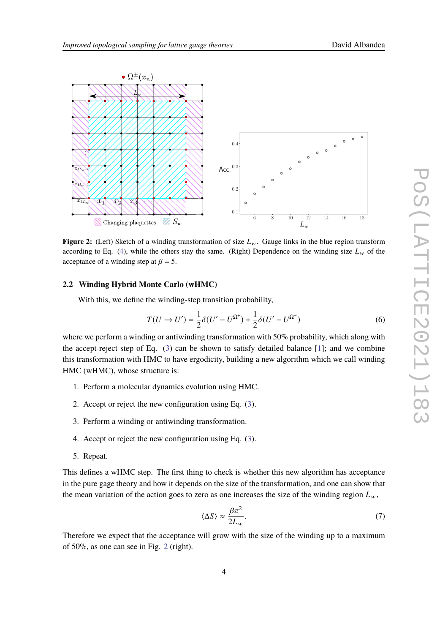<span id="page-3-0"></span>

**Figure 2:** (Left) Sketch of a winding transformation of size  $L_w$ . Gauge links in the blue region transform according to Eq. [\(4\)](#page-2-0), while the others stay the same. (Right) Dependence on the winding size  $L_w$  of the acceptance of a winding step at  $\beta = 5$ .

### **2.2 Winding Hybrid Monte Carlo (wHMC)**

With this, we define the winding-step transition probability,

$$
T(U \to U') = \frac{1}{2}\delta(U' - U^{\Omega^+}) + \frac{1}{2}\delta(U' - U^{\Omega^-})
$$
\n(6)

where we perform a winding or antiwinding transformation with 50% probability, which along with the accept-reject step of Eq. [\(3\)](#page-2-1) can be shown to satisfy detailed balance [\[1\]](#page-9-0); and we combine this transformation with HMC to have ergodicity, building a new algorithm which we call winding HMC (wHMC), whose structure is:

- 1. Perform a molecular dynamics evolution using HMC.
- 2. Accept or reject the new configuration using Eq. [\(3\)](#page-2-1).
- 3. Perform a winding or antiwinding transformation.
- 4. Accept or reject the new configuration using Eq. [\(3\)](#page-2-1).
- 5. Repeat.

This defines a wHMC step. The first thing to check is whether this new algorithm has acceptance in the pure gage theory and how it depends on the size of the transformation, and one can show that the mean variation of the action goes to zero as one increases the size of the winding region  $L_w$ ,

$$
\langle \Delta S \rangle \approx \frac{\beta \pi^2}{2L_w}.\tag{7}
$$

Therefore we expect that the acceptance will grow with the size of the winding up to a maximum of 50%, as one can see in Fig. [2](#page-3-0) (right).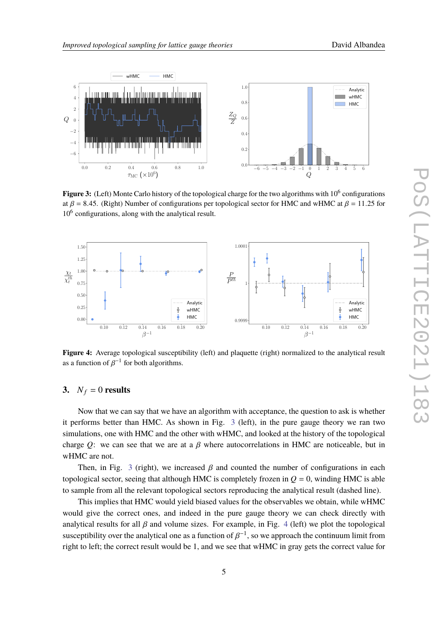$\tau_{\text{MC}}$  ( $\times 10^6$ )

<span id="page-4-0"></span>

Figure 3: (Left) Monte Carlo history of the topological charge for the two algorithms with 10<sup>6</sup> configurations at  $\beta$  = 8.45. (Right) Number of configurations per topological sector for HMC and wHMC at  $\beta$  = 11.25 for 10<sup>6</sup> configurations, along with the analytical result.

<span id="page-4-1"></span>

**Figure 4:** Average topological susceptibility (left) and plaquette (right) normalized to the analytical result as a function of  $\beta^{-1}$  for both algorithms.

# **3.**  $N_f = 0$  **results**

Now that we can say that we have an algorithm with acceptance, the question to ask is whether it performs better than HMC. As shown in Fig. [3](#page-4-0) (left), in the pure gauge theory we ran two simulations, one with HMC and the other with wHMC, and looked at the history of the topological charge Q: we can see that we are at a  $\beta$  where autocorrelations in HMC are noticeable, but in wHMC are not.

Then, in Fig. [3](#page-4-0) (right), we increased  $\beta$  and counted the number of configurations in each topological sector, seeing that although HMC is completely frozen in  $Q = 0$ , winding HMC is able to sample from all the relevant topological sectors reproducing the analytical result (dashed line).

This implies that HMC would yield biased values for the observables we obtain, while wHMC would give the correct ones, and indeed in the pure gauge theory we can check directly with analytical results for all  $\beta$  and volume sizes. For example, in Fig. [4](#page-4-1) (left) we plot the topological susceptibility over the analytical one as a function of  $\beta^{-1}$ , so we approach the continuum limit from right to left; the correct result would be 1, and we see that wHMC in gray gets the correct value for

 $\check{Q}$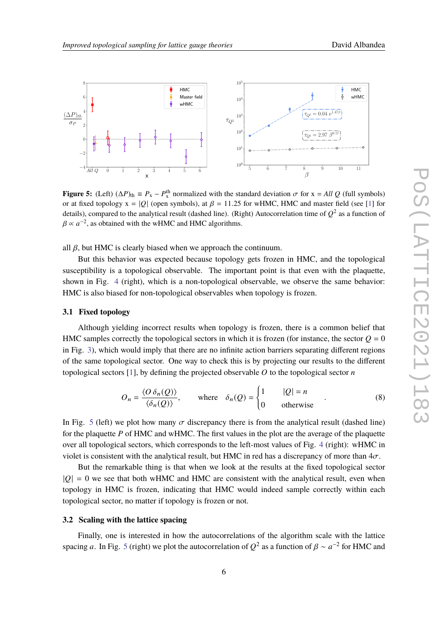<span id="page-5-0"></span>

**Figure 5:** (Left)  $(\Delta P)_{\text{th}} \equiv P_x - P_x^{\text{th}}$  normalized with the standard deviation  $\sigma$  for  $x = All Q$  (full symbols) or at fixed topology  $x = |Q|$  (open symbols), at  $\beta = 11.25$  for wHMC, HMC and master field (see [\[1\]](#page-9-0) for details), compared to the analytical result (dashed line). (Right) Autocorrelation time of  $Q^2$  as a function of  $\beta \propto a^{-2}$ , as obtained with the wHMC and HMC algorithms.

all  $\beta$ , but HMC is clearly biased when we approach the continuum.

But this behavior was expected because topology gets frozen in HMC, and the topological susceptibility is a topological observable. The important point is that even with the plaquette, shown in Fig. [4](#page-4-1) (right), which is a non-topological observable, we observe the same behavior: HMC is also biased for non-topological observables when topology is frozen.

## **3.1 Fixed topology**

Although yielding incorrect results when topology is frozen, there is a common belief that HMC samples correctly the topological sectors in which it is frozen (for instance, the sector  $Q = 0$ in Fig. [3\)](#page-4-0), which would imply that there are no infinite action barriers separating different regions of the same topological sector. One way to check this is by projecting our results to the different topological sectors [\[1\]](#page-9-0), by defining the projected observable  $O$  to the topological sector  $n$ 

$$
O_n = \frac{\langle O \, \delta_n(Q) \rangle}{\langle \delta_n(Q) \rangle}, \qquad \text{where} \quad \delta_n(Q) = \begin{cases} 1 & |Q| = n \\ 0 & \text{otherwise} \end{cases} \tag{8}
$$

In Fig. [5](#page-5-0) (left) we plot how many  $\sigma$  discrepancy there is from the analytical result (dashed line) for the plaquette  $P$  of HMC and wHMC. The first values in the plot are the average of the plaquette over all topological sectors, which corresponds to the left-most values of Fig. [4](#page-4-1) (right): wHMC in violet is consistent with the analytical result, but HMC in red has a discrepancy of more than  $4\sigma$ .

But the remarkable thing is that when we look at the results at the fixed topological sector  $|Q| = 0$  we see that both wHMC and HMC are consistent with the analytical result, even when topology in HMC is frozen, indicating that HMC would indeed sample correctly within each topological sector, no matter if topology is frozen or not.

## **3.2 Scaling with the lattice spacing**

Finally, one is interested in how the autocorrelations of the algorithm scale with the lattice spacing a. In Fig. [5](#page-5-0) (right) we plot the autocorrelation of  $Q^2$  as a function of  $\beta \sim a^{-2}$  for HMC and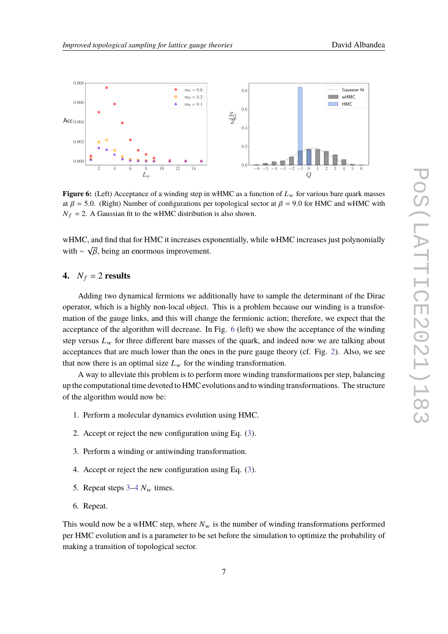<span id="page-6-0"></span>

**Figure 6:** (Left) Acceptance of a winding step in wHMC as a function of  $L<sub>w</sub>$  for various bare quark masses at  $\beta$  = 5.0. (Right) Number of configurations per topological sector at  $\beta$  = 9.0 for HMC and wHMC with  $N_f = 2$ . A Gaussian fit to the wHMC distribution is also shown.

wHMC, and find that for HMC it increases exponentially, while wHMC increases just polynomially with ∼  $\sqrt{\beta}$ , being an enormous improvement.

# **4.**  $N_f = 2$  **results**

Adding two dynamical fermions we additionally have to sample the determinant of the Dirac operator, which is a highly non-local object. This is a problem because our winding is a transformation of the gauge links, and this will change the fermionic action; therefore, we expect that the acceptance of the algorithm will decrease. In Fig. [6](#page-6-0) (left) we show the acceptance of the winding step versus  $L_w$  for three different bare masses of the quark, and indeed now we are talking about acceptances that are much lower than the ones in the pure gauge theory (cf. Fig. [2\)](#page-3-0). Also, we see that now there is an optimal size  $L<sub>w</sub>$  for the winding transformation.

A way to alleviate this problem is to perform more winding transformations per step, balancing up the computational time devoted to HMC evolutions and to winding transformations. The structure of the algorithm would now be:

- 1. Perform a molecular dynamics evolution using HMC.
- 2. Accept or reject the new configuration using Eq. [\(3\)](#page-2-1).
- <span id="page-6-1"></span>3. Perform a winding or antiwinding transformation.
- <span id="page-6-2"></span>4. Accept or reject the new configuration using Eq. [\(3\)](#page-2-1).
- 5. Repeat steps  $3-4$  $3-4$   $N_w$  times.
- 6. Repeat.

This would now be a wHMC step, where  $N_w$  is the number of winding transformations performed per HMC evolution and is a parameter to be set before the simulation to optimize the probability of making a transition of topological sector.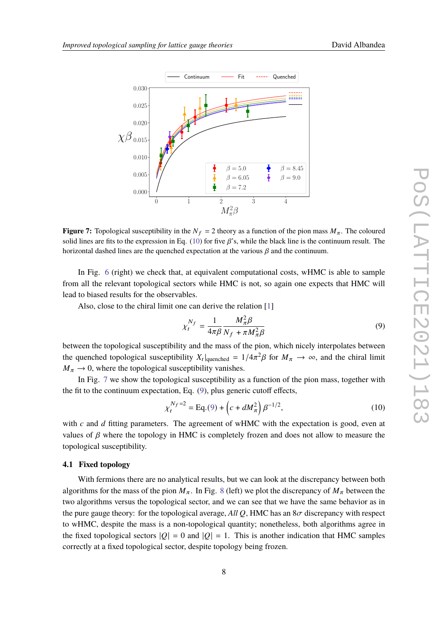<span id="page-7-1"></span>

**Figure 7:** Topological susceptibility in the  $N_f = 2$  theory as a function of the pion mass  $M_\pi$ . The coloured solid lines are fits to the expression in Eq. [\(10\)](#page-7-0) for five  $\beta$ 's, while the black line is the continuum result. The horizontal dashed lines are the quenched expectation at the various  $\beta$  and the continuum.

In Fig. [6](#page-6-0) (right) we check that, at equivalent computational costs, wHMC is able to sample from all the relevant topological sectors while HMC is not, so again one expects that HMC will lead to biased results for the observables.

Also, close to the chiral limit one can derive the relation [\[1\]](#page-9-0)

<span id="page-7-2"></span><span id="page-7-0"></span>
$$
\chi_t^{N_f} = \frac{1}{4\pi\beta} \frac{M_\pi^2 \beta}{N_f + \pi M_\pi^2 \beta} \tag{9}
$$

between the topological susceptibility and the mass of the pion, which nicely interpolates between the quenched topological susceptibility  $X_t|_{\text{quenched}} = 1/4\pi^2\beta$  for  $M_\pi \to \infty$ , and the chiral limit  $M_{\pi} \rightarrow 0$ , where the topological susceptibility vanishes.

In Fig. [7](#page-7-1) we show the topological susceptibility as a function of the pion mass, together with the fit to the continuum expectation, Eq. [\(9\)](#page-7-2), plus generic cutoff effects,

$$
\chi_t^{N_f=2} = \text{Eq.}(9) + \left(c + dM_\pi^2\right)\beta^{-1/2},\tag{10}
$$

with  $c$  and  $d$  fitting parameters. The agreement of wHMC with the expectation is good, even at values of  $\beta$  where the topology in HMC is completely frozen and does not allow to measure the topological susceptibility.

## **4.1 Fixed topology**

With fermions there are no analytical results, but we can look at the discrepancy between both algorithms for the mass of the pion  $M_{\pi}$ . In Fig. [8](#page-8-0) (left) we plot the discrepancy of  $M_{\pi}$  between the two algorithms versus the topological sector, and we can see that we have the same behavior as in the pure gauge theory: for the topological average, *All Q*, HMC has an  $8\sigma$  discrepancy with respect to wHMC, despite the mass is a non-topological quantity; nonetheless, both algorithms agree in the fixed topological sectors  $|Q| = 0$  and  $|Q| = 1$ . This is another indication that HMC samples correctly at a fixed topological sector, despite topology being frozen.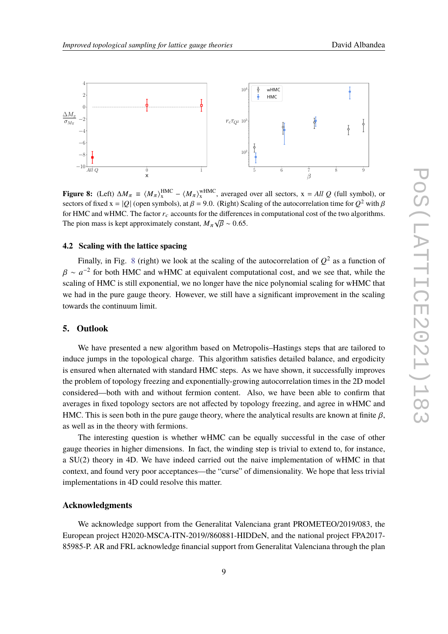<span id="page-8-0"></span>

**Figure 8:** (Left)  $\Delta M_{\pi} \equiv \langle M_{\pi} \rangle_{\text{x}}^{\text{HMC}} - \langle M_{\pi} \rangle_{\text{x}}^{\text{WHMC}}$ , averaged over all sectors,  $x = All Q$  (full symbol), or sectors of fixed x =  $|Q|$  (open symbols), at  $\beta$  = 9.0. (Right) Scaling of the autocorrelation time for  $Q^2$  with  $\beta$ for HMC and wHMC. The factor  $r_c$  accounts for the differences in computational cost of the two algorithms. The pion mass is kept approximately constant,  $M_{\pi}\sqrt{\beta} \sim 0.65$ .

## **4.2 Scaling with the lattice spacing**

Finally, in Fig. [8](#page-8-0) (right) we look at the scaling of the autocorrelation of  $Q^2$  as a function of  $\beta \sim a^{-2}$  for both HMC and wHMC at equivalent computational cost, and we see that, while the scaling of HMC is still exponential, we no longer have the nice polynomial scaling for wHMC that we had in the pure gauge theory. However, we still have a significant improvement in the scaling towards the continuum limit.

## **5. Outlook**

We have presented a new algorithm based on Metropolis–Hastings steps that are tailored to induce jumps in the topological charge. This algorithm satisfies detailed balance, and ergodicity is ensured when alternated with standard HMC steps. As we have shown, it successfully improves the problem of topology freezing and exponentially-growing autocorrelation times in the 2D model considered—both with and without fermion content. Also, we have been able to confirm that averages in fixed topology sectors are not affected by topology freezing, and agree in wHMC and HMC. This is seen both in the pure gauge theory, where the analytical results are known at finite  $\beta$ , as well as in the theory with fermions.

The interesting question is whether wHMC can be equally successful in the case of other gauge theories in higher dimensions. In fact, the winding step is trivial to extend to, for instance, a SU(2) theory in 4D. We have indeed carried out the naive implementation of wHMC in that context, and found very poor acceptances—the "curse" of dimensionality. We hope that less trivial implementations in 4D could resolve this matter.

## **Acknowledgments**

We acknowledge support from the Generalitat Valenciana grant PROMETEO/2019/083, the European project H2020-MSCA-ITN-2019//860881-HIDDeN, and the national project FPA2017- 85985-P. AR and FRL acknowledge financial support from Generalitat Valenciana through the plan